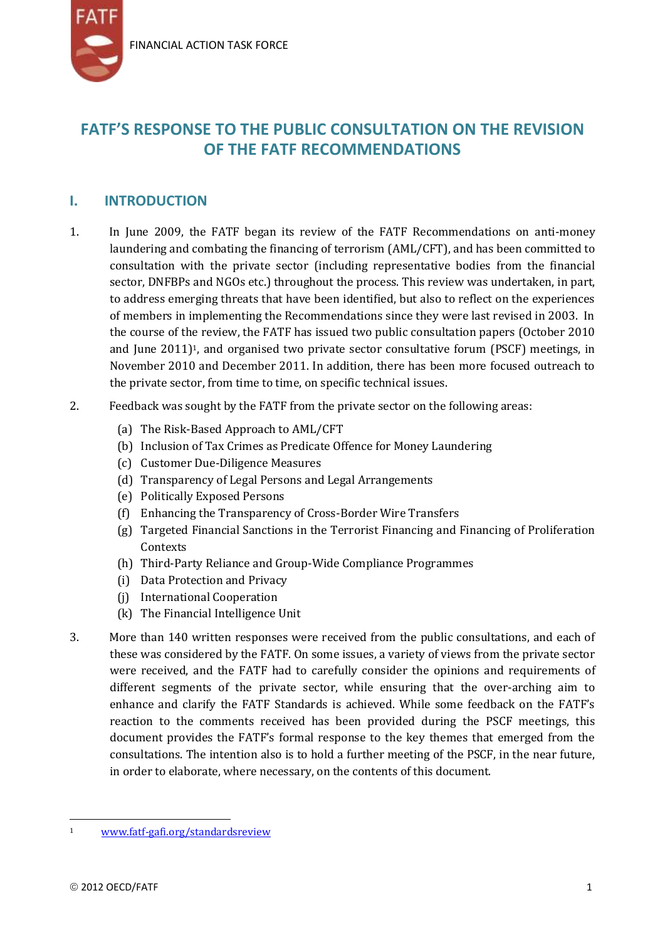

# **FATF'S RESPONSE TO THE PUBLIC CONSULTATION ON THE REVISION OF THE FATF RECOMMENDATIONS**

# **I. INTRODUCTION**

- 1. In June 2009, the FATF began its review of the FATF Recommendations on anti-money laundering and combating the financing of terrorism (AML/CFT), and has been committed to consultation with the private sector (including representative bodies from the financial sector, DNFBPs and NGOs etc.) throughout the process. This review was undertaken, in part, to address emerging threats that have been identified, but also to reflect on the experiences of members in implementing the Recommendations since they were last revised in 2003. In the course of the review, the FATF has issued two public consultation papers (October 2010 and June  $2011$ <sup>1</sup>, and organised two private sector consultative forum (PSCF) meetings, in November 2010 and December 2011. In addition, there has been more focused outreach to the private sector, from time to time, on specific technical issues.
- 2. Feedback was sought by the FATF from the private sector on the following areas:
	- (a) The Risk-Based Approach to AML/CFT
	- (b) Inclusion of Tax Crimes as Predicate Offence for Money Laundering
	- (c) Customer Due-Diligence Measures
	- (d) Transparency of Legal Persons and Legal Arrangements
	- (e) Politically Exposed Persons
	- (f) Enhancing the Transparency of Cross-Border Wire Transfers
	- (g) Targeted Financial Sanctions in the Terrorist Financing and Financing of Proliferation **Contexts**
	- (h) Third-Party Reliance and Group-Wide Compliance Programmes
	- (i) Data Protection and Privacy
	- (j) International Cooperation
	- (k) The Financial Intelligence Unit
- 3. More than 140 written responses were received from the public consultations, and each of these was considered by the FATF. On some issues, a variety of views from the private sector were received, and the FATF had to carefully consider the opinions and requirements of different segments of the private sector, while ensuring that the over-arching aim to enhance and clarify the FATF Standards is achieved. While some feedback on the FATF's reaction to the comments received has been provided during the PSCF meetings, this document provides the FATF's formal response to the key themes that emerged from the consultations. The intention also is to hold a further meeting of the PSCF, in the near future, in order to elaborate, where necessary, on the contents of this document.

l

<sup>1</sup> [www.fatf-gafi.org/standardsreview](http://www.fatf-gafi.org/standardsreview)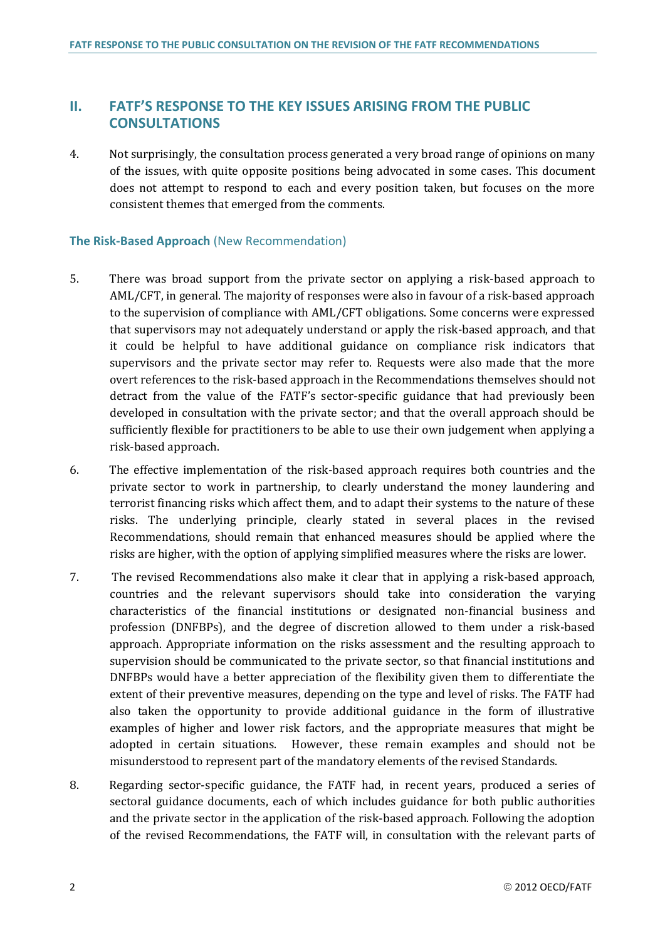## **II. FATF'S RESPONSE TO THE KEY ISSUES ARISING FROM THE PUBLIC CONSULTATIONS**

4. Not surprisingly, the consultation process generated a very broad range of opinions on many of the issues, with quite opposite positions being advocated in some cases. This document does not attempt to respond to each and every position taken, but focuses on the more consistent themes that emerged from the comments.

#### **The Risk-Based Approach** (New Recommendation)

- 5. There was broad support from the private sector on applying a risk-based approach to AML/CFT, in general. The majority of responses were also in favour of a risk-based approach to the supervision of compliance with AML/CFT obligations. Some concerns were expressed that supervisors may not adequately understand or apply the risk-based approach, and that it could be helpful to have additional guidance on compliance risk indicators that supervisors and the private sector may refer to. Requests were also made that the more overt references to the risk-based approach in the Recommendations themselves should not detract from the value of the FATF's sector-specific guidance that had previously been developed in consultation with the private sector; and that the overall approach should be sufficiently flexible for practitioners to be able to use their own judgement when applying a risk-based approach.
- 6. The effective implementation of the risk-based approach requires both countries and the private sector to work in partnership, to clearly understand the money laundering and terrorist financing risks which affect them, and to adapt their systems to the nature of these risks. The underlying principle, clearly stated in several places in the revised Recommendations, should remain that enhanced measures should be applied where the risks are higher, with the option of applying simplified measures where the risks are lower.
- 7. The revised Recommendations also make it clear that in applying a risk-based approach, countries and the relevant supervisors should take into consideration the varying characteristics of the financial institutions or designated non-financial business and profession (DNFBPs), and the degree of discretion allowed to them under a risk-based approach. Appropriate information on the risks assessment and the resulting approach to supervision should be communicated to the private sector, so that financial institutions and DNFBPs would have a better appreciation of the flexibility given them to differentiate the extent of their preventive measures, depending on the type and level of risks. The FATF had also taken the opportunity to provide additional guidance in the form of illustrative examples of higher and lower risk factors, and the appropriate measures that might be adopted in certain situations. However, these remain examples and should not be misunderstood to represent part of the mandatory elements of the revised Standards.
- 8. Regarding sector-specific guidance, the FATF had, in recent years, produced a series of sectoral guidance documents, each of which includes guidance for both public authorities and the private sector in the application of the risk-based approach. Following the adoption of the revised Recommendations, the FATF will, in consultation with the relevant parts of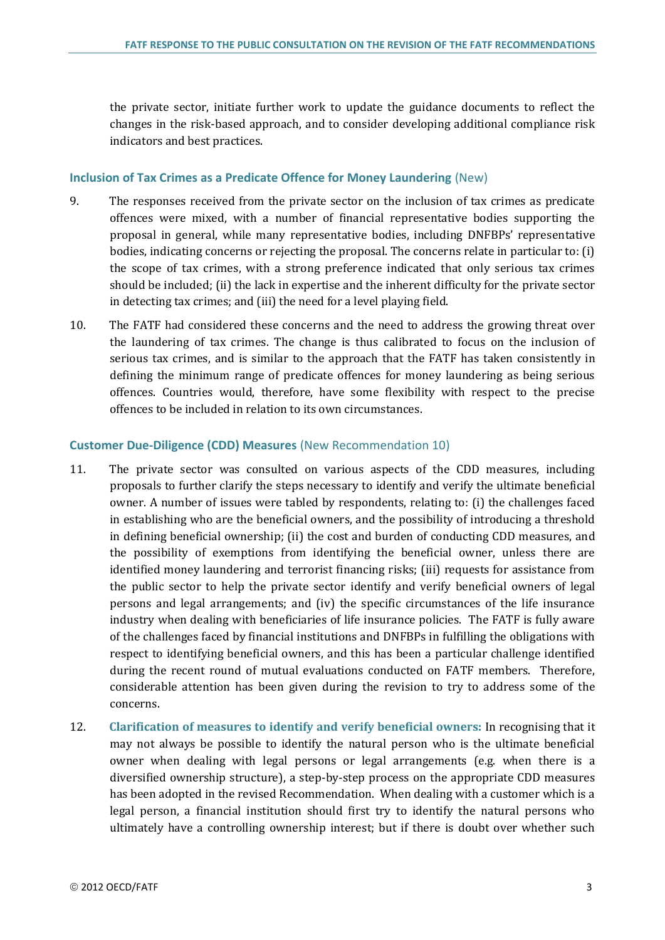the private sector, initiate further work to update the guidance documents to reflect the changes in the risk-based approach, and to consider developing additional compliance risk indicators and best practices.

#### **Inclusion of Tax Crimes as a Predicate Offence for Money Laundering** (New)

- 9. The responses received from the private sector on the inclusion of tax crimes as predicate offences were mixed, with a number of financial representative bodies supporting the proposal in general, while many representative bodies, including DNFBPs' representative bodies, indicating concerns or rejecting the proposal. The concerns relate in particular to: (i) the scope of tax crimes, with a strong preference indicated that only serious tax crimes should be included; (ii) the lack in expertise and the inherent difficulty for the private sector in detecting tax crimes; and (iii) the need for a level playing field.
- 10. The FATF had considered these concerns and the need to address the growing threat over the laundering of tax crimes. The change is thus calibrated to focus on the inclusion of serious tax crimes, and is similar to the approach that the FATF has taken consistently in defining the minimum range of predicate offences for money laundering as being serious offences. Countries would, therefore, have some flexibility with respect to the precise offences to be included in relation to its own circumstances.

#### **Customer Due-Diligence (CDD) Measures** (New Recommendation 10)

- 11. The private sector was consulted on various aspects of the CDD measures, including proposals to further clarify the steps necessary to identify and verify the ultimate beneficial owner. A number of issues were tabled by respondents, relating to: (i) the challenges faced in establishing who are the beneficial owners, and the possibility of introducing a threshold in defining beneficial ownership; (ii) the cost and burden of conducting CDD measures, and the possibility of exemptions from identifying the beneficial owner, unless there are identified money laundering and terrorist financing risks; (iii) requests for assistance from the public sector to help the private sector identify and verify beneficial owners of legal persons and legal arrangements; and (iv) the specific circumstances of the life insurance industry when dealing with beneficiaries of life insurance policies. The FATF is fully aware of the challenges faced by financial institutions and DNFBPs in fulfilling the obligations with respect to identifying beneficial owners, and this has been a particular challenge identified during the recent round of mutual evaluations conducted on FATF members. Therefore, considerable attention has been given during the revision to try to address some of the concerns.
- 12. **Clarification of measures to identify and verify beneficial owners:** In recognising that it may not always be possible to identify the natural person who is the ultimate beneficial owner when dealing with legal persons or legal arrangements (e.g. when there is a diversified ownership structure), a step-by-step process on the appropriate CDD measures has been adopted in the revised Recommendation. When dealing with a customer which is a legal person, a financial institution should first try to identify the natural persons who ultimately have a controlling ownership interest; but if there is doubt over whether such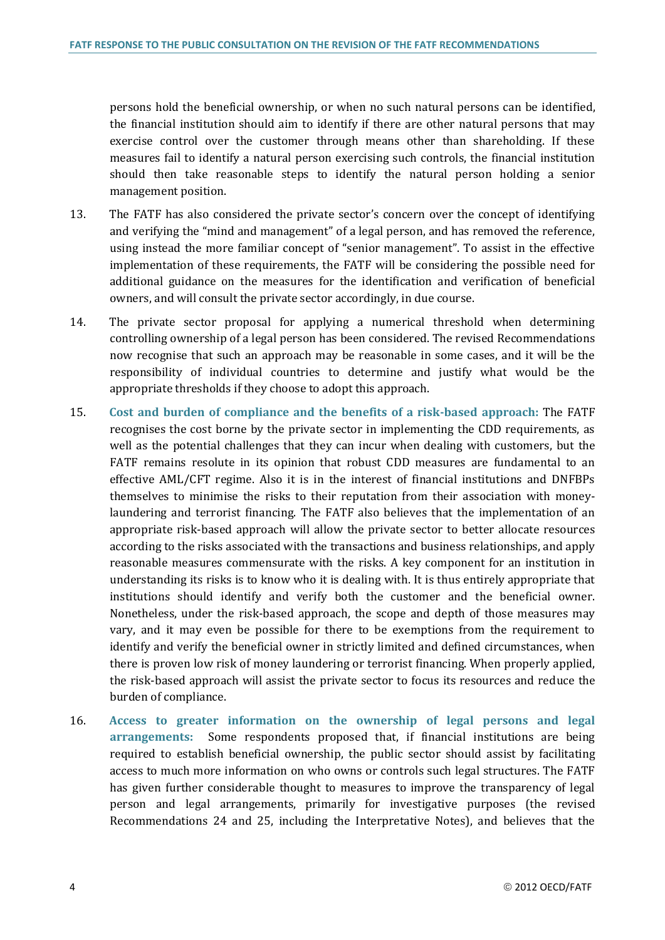persons hold the beneficial ownership, or when no such natural persons can be identified, the financial institution should aim to identify if there are other natural persons that may exercise control over the customer through means other than shareholding. If these measures fail to identify a natural person exercising such controls, the financial institution should then take reasonable steps to identify the natural person holding a senior management position.

- 13. The FATF has also considered the private sector's concern over the concept of identifying and verifying the "mind and management" of a legal person, and has removed the reference, using instead the more familiar concept of "senior management". To assist in the effective implementation of these requirements, the FATF will be considering the possible need for additional guidance on the measures for the identification and verification of beneficial owners, and will consult the private sector accordingly, in due course.
- 14. The private sector proposal for applying a numerical threshold when determining controlling ownership of a legal person has been considered. The revised Recommendations now recognise that such an approach may be reasonable in some cases, and it will be the responsibility of individual countries to determine and justify what would be the appropriate thresholds if they choose to adopt this approach.
- 15. **Cost and burden of compliance and the benefits of a risk-based approach:** The FATF recognises the cost borne by the private sector in implementing the CDD requirements, as well as the potential challenges that they can incur when dealing with customers, but the FATF remains resolute in its opinion that robust CDD measures are fundamental to an effective AML/CFT regime. Also it is in the interest of financial institutions and DNFBPs themselves to minimise the risks to their reputation from their association with moneylaundering and terrorist financing. The FATF also believes that the implementation of an appropriate risk-based approach will allow the private sector to better allocate resources according to the risks associated with the transactions and business relationships, and apply reasonable measures commensurate with the risks. A key component for an institution in understanding its risks is to know who it is dealing with. It is thus entirely appropriate that institutions should identify and verify both the customer and the beneficial owner. Nonetheless, under the risk-based approach, the scope and depth of those measures may vary, and it may even be possible for there to be exemptions from the requirement to identify and verify the beneficial owner in strictly limited and defined circumstances, when there is proven low risk of money laundering or terrorist financing. When properly applied, the risk-based approach will assist the private sector to focus its resources and reduce the burden of compliance.
- 16. **Access to greater information on the ownership of legal persons and legal arrangements:** Some respondents proposed that, if financial institutions are being required to establish beneficial ownership, the public sector should assist by facilitating access to much more information on who owns or controls such legal structures. The FATF has given further considerable thought to measures to improve the transparency of legal person and legal arrangements, primarily for investigative purposes (the revised Recommendations 24 and 25, including the Interpretative Notes), and believes that the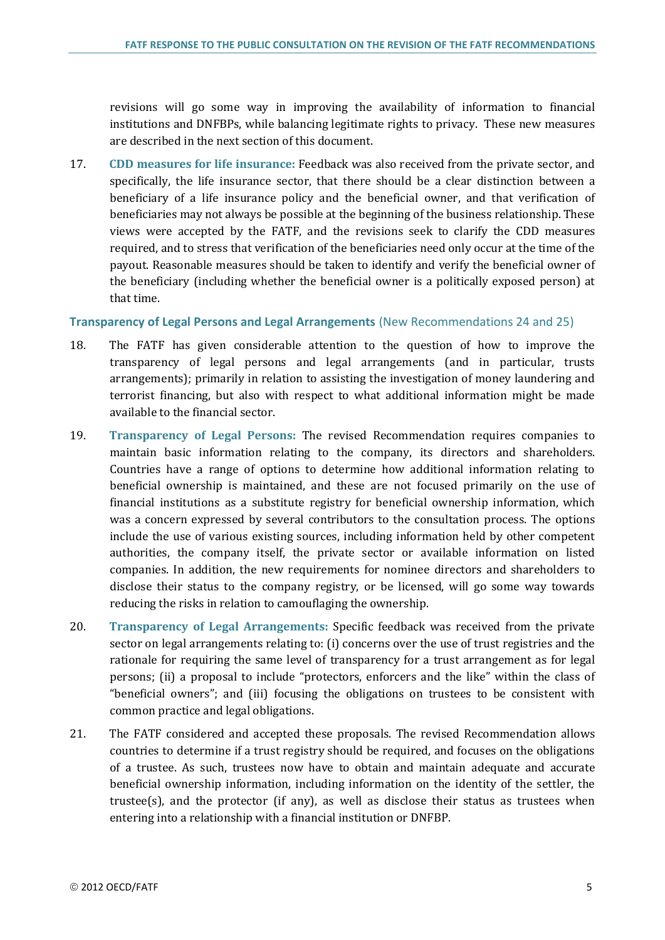revisions will go some way in improving the availability of information to financial institutions and DNFBPs, while balancing legitimate rights to privacy. These new measures are described in the next section of this document.

17. **CDD measures for life insurance:** Feedback was also received from the private sector, and specifically, the life insurance sector, that there should be a clear distinction between a beneficiary of a life insurance policy and the beneficial owner, and that verification of beneficiaries may not always be possible at the beginning of the business relationship. These views were accepted by the FATF, and the revisions seek to clarify the CDD measures required, and to stress that verification of the beneficiaries need only occur at the time of the payout. Reasonable measures should be taken to identify and verify the beneficial owner of the beneficiary (including whether the beneficial owner is a politically exposed person) at that time.

#### **Transparency of Legal Persons and Legal Arrangements** (New Recommendations 24 and 25)

- 18. The FATF has given considerable attention to the question of how to improve the transparency of legal persons and legal arrangements (and in particular, trusts arrangements); primarily in relation to assisting the investigation of money laundering and terrorist financing, but also with respect to what additional information might be made available to the financial sector.
- 19. **Transparency of Legal Persons:** The revised Recommendation requires companies to maintain basic information relating to the company, its directors and shareholders. Countries have a range of options to determine how additional information relating to beneficial ownership is maintained, and these are not focused primarily on the use of financial institutions as a substitute registry for beneficial ownership information, which was a concern expressed by several contributors to the consultation process. The options include the use of various existing sources, including information held by other competent authorities, the company itself, the private sector or available information on listed companies. In addition, the new requirements for nominee directors and shareholders to disclose their status to the company registry, or be licensed, will go some way towards reducing the risks in relation to camouflaging the ownership.
- 20. **Transparency of Legal Arrangements:** Specific feedback was received from the private sector on legal arrangements relating to: (i) concerns over the use of trust registries and the rationale for requiring the same level of transparency for a trust arrangement as for legal persons; (ii) a proposal to include "protectors, enforcers and the like" within the class of "beneficial owners"; and (iii) focusing the obligations on trustees to be consistent with common practice and legal obligations.
- 21. The FATF considered and accepted these proposals. The revised Recommendation allows countries to determine if a trust registry should be required, and focuses on the obligations of a trustee. As such, trustees now have to obtain and maintain adequate and accurate beneficial ownership information, including information on the identity of the settler, the trustee(s), and the protector (if any), as well as disclose their status as trustees when entering into a relationship with a financial institution or DNFBP.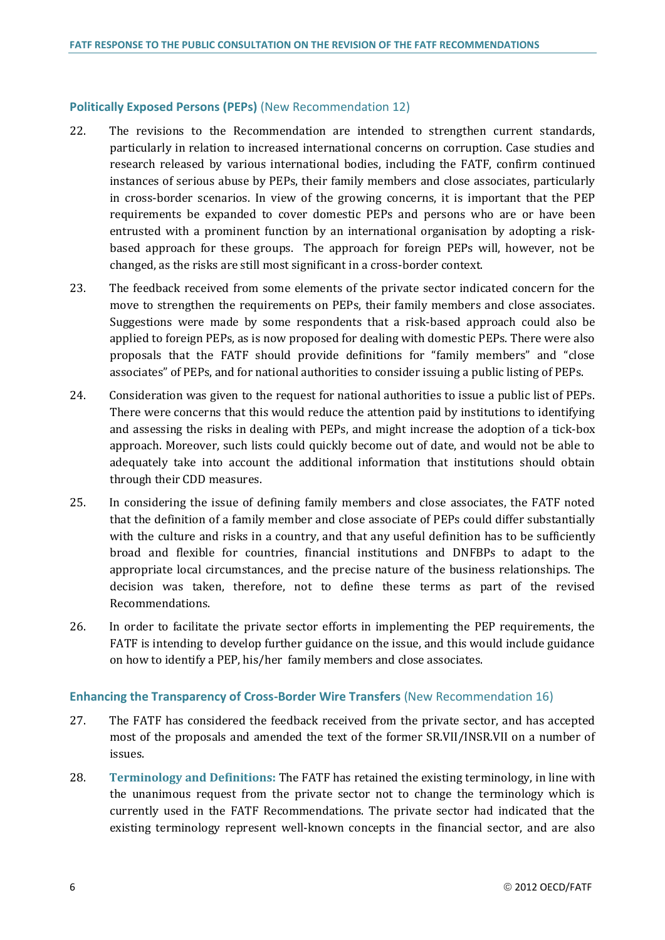#### **Politically Exposed Persons (PEPs)** (New Recommendation 12)

- 22. The revisions to the Recommendation are intended to strengthen current standards, particularly in relation to increased international concerns on corruption. Case studies and research released by various international bodies, including the FATF, confirm continued instances of serious abuse by PEPs, their family members and close associates, particularly in cross-border scenarios. In view of the growing concerns, it is important that the PEP requirements be expanded to cover domestic PEPs and persons who are or have been entrusted with a prominent function by an international organisation by adopting a riskbased approach for these groups. The approach for foreign PEPs will, however, not be changed, as the risks are still most significant in a cross-border context.
- 23. The feedback received from some elements of the private sector indicated concern for the move to strengthen the requirements on PEPs, their family members and close associates. Suggestions were made by some respondents that a risk-based approach could also be applied to foreign PEPs, as is now proposed for dealing with domestic PEPs. There were also proposals that the FATF should provide definitions for "family members" and "close associates" of PEPs, and for national authorities to consider issuing a public listing of PEPs.
- 24. Consideration was given to the request for national authorities to issue a public list of PEPs. There were concerns that this would reduce the attention paid by institutions to identifying and assessing the risks in dealing with PEPs, and might increase the adoption of a tick-box approach. Moreover, such lists could quickly become out of date, and would not be able to adequately take into account the additional information that institutions should obtain through their CDD measures.
- 25. In considering the issue of defining family members and close associates, the FATF noted that the definition of a family member and close associate of PEPs could differ substantially with the culture and risks in a country, and that any useful definition has to be sufficiently broad and flexible for countries, financial institutions and DNFBPs to adapt to the appropriate local circumstances, and the precise nature of the business relationships. The decision was taken, therefore, not to define these terms as part of the revised Recommendations.
- 26. In order to facilitate the private sector efforts in implementing the PEP requirements, the FATF is intending to develop further guidance on the issue, and this would include guidance on how to identify a PEP, his/her family members and close associates.

#### **Enhancing the Transparency of Cross-Border Wire Transfers** (New Recommendation 16)

- 27. The FATF has considered the feedback received from the private sector, and has accepted most of the proposals and amended the text of the former SR.VII/INSR.VII on a number of issues.
- 28. **Terminology and Definitions:** The FATF has retained the existing terminology, in line with the unanimous request from the private sector not to change the terminology which is currently used in the FATF Recommendations. The private sector had indicated that the existing terminology represent well-known concepts in the financial sector, and are also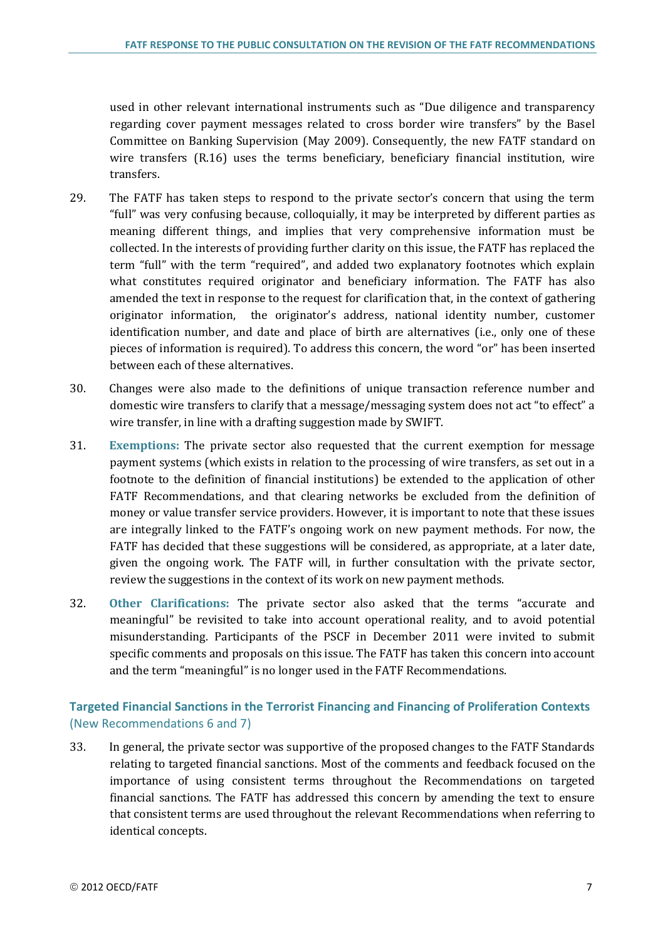used in other relevant international instruments such as "Due diligence and transparency regarding cover payment messages related to cross border wire transfers" by the Basel Committee on Banking Supervision (May 2009). Consequently, the new FATF standard on wire transfers (R.16) uses the terms beneficiary, beneficiary financial institution, wire transfers.

- 29. The FATF has taken steps to respond to the private sector's concern that using the term "full" was very confusing because, colloquially, it may be interpreted by different parties as meaning different things, and implies that very comprehensive information must be collected. In the interests of providing further clarity on this issue, the FATF has replaced the term "full" with the term "required", and added two explanatory footnotes which explain what constitutes required originator and beneficiary information. The FATF has also amended the text in response to the request for clarification that, in the context of gathering originator information, the originator's address, national identity number, customer identification number, and date and place of birth are alternatives (i.e., only one of these pieces of information is required). To address this concern, the word "or" has been inserted between each of these alternatives.
- 30. Changes were also made to the definitions of unique transaction reference number and domestic wire transfers to clarify that a message/messaging system does not act "to effect" a wire transfer, in line with a drafting suggestion made by SWIFT.
- 31. **Exemptions:** The private sector also requested that the current exemption for message payment systems (which exists in relation to the processing of wire transfers, as set out in a footnote to the definition of financial institutions) be extended to the application of other FATF Recommendations, and that clearing networks be excluded from the definition of money or value transfer service providers. However, it is important to note that these issues are integrally linked to the FATF's ongoing work on new payment methods. For now, the FATF has decided that these suggestions will be considered, as appropriate, at a later date, given the ongoing work. The FATF will, in further consultation with the private sector, review the suggestions in the context of its work on new payment methods.
- 32. **Other Clarifications:** The private sector also asked that the terms "accurate and meaningful" be revisited to take into account operational reality, and to avoid potential misunderstanding. Participants of the PSCF in December 2011 were invited to submit specific comments and proposals on this issue. The FATF has taken this concern into account and the term "meaningful" is no longer used in the FATF Recommendations.

### **Targeted Financial Sanctions in the Terrorist Financing and Financing of Proliferation Contexts**  (New Recommendations 6 and 7)

33. In general, the private sector was supportive of the proposed changes to the FATF Standards relating to targeted financial sanctions. Most of the comments and feedback focused on the importance of using consistent terms throughout the Recommendations on targeted financial sanctions. The FATF has addressed this concern by amending the text to ensure that consistent terms are used throughout the relevant Recommendations when referring to identical concepts.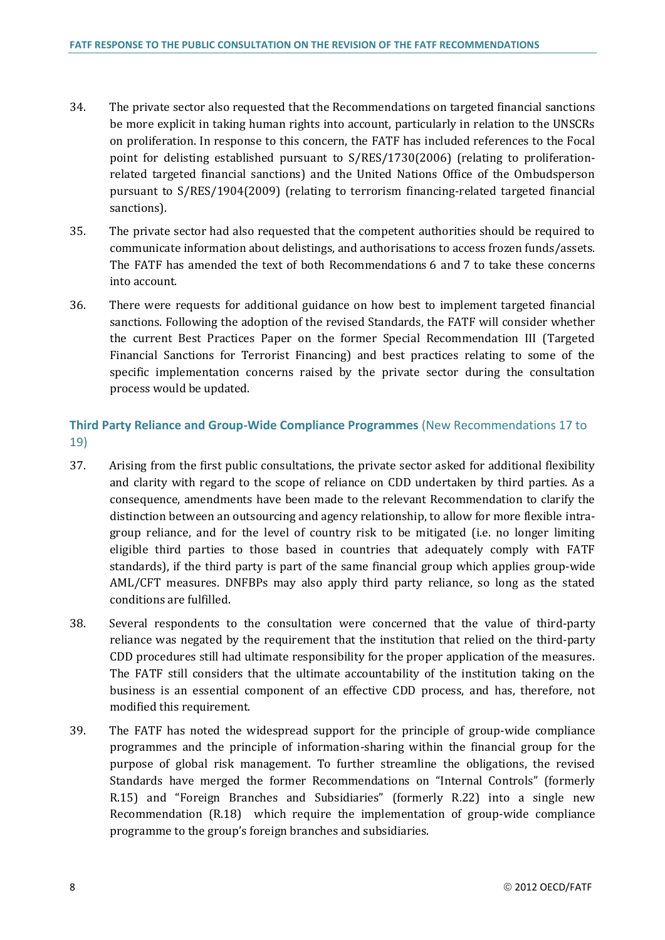- 34. The private sector also requested that the Recommendations on targeted financial sanctions be more explicit in taking human rights into account, particularly in relation to the UNSCRs on proliferation. In response to this concern, the FATF has included references to the Focal point for delisting established pursuant to S/RES/1730(2006) (relating to proliferationrelated targeted financial sanctions) and the United Nations Office of the Ombudsperson pursuant to S/RES/1904(2009) (relating to terrorism financing-related targeted financial sanctions).
- 35. The private sector had also requested that the competent authorities should be required to communicate information about delistings, and authorisations to access frozen funds/assets. The FATF has amended the text of both Recommendations 6 and 7 to take these concerns into account.
- 36. There were requests for additional guidance on how best to implement targeted financial sanctions. Following the adoption of the revised Standards, the FATF will consider whether the current Best Practices Paper on the former Special Recommendation III (Targeted Financial Sanctions for Terrorist Financing) and best practices relating to some of the specific implementation concerns raised by the private sector during the consultation process would be updated.

### **Third Party Reliance and Group-Wide Compliance Programmes** (New Recommendations 17 to 19)

- 37. Arising from the first public consultations, the private sector asked for additional flexibility and clarity with regard to the scope of reliance on CDD undertaken by third parties. As a consequence, amendments have been made to the relevant Recommendation to clarify the distinction between an outsourcing and agency relationship, to allow for more flexible intragroup reliance, and for the level of country risk to be mitigated (i.e. no longer limiting eligible third parties to those based in countries that adequately comply with FATF standards), if the third party is part of the same financial group which applies group-wide AML/CFT measures. DNFBPs may also apply third party reliance, so long as the stated conditions are fulfilled.
- 38. Several respondents to the consultation were concerned that the value of third-party reliance was negated by the requirement that the institution that relied on the third-party CDD procedures still had ultimate responsibility for the proper application of the measures. The FATF still considers that the ultimate accountability of the institution taking on the business is an essential component of an effective CDD process, and has, therefore, not modified this requirement.
- 39. The FATF has noted the widespread support for the principle of group-wide compliance programmes and the principle of information-sharing within the financial group for the purpose of global risk management. To further streamline the obligations, the revised Standards have merged the former Recommendations on "Internal Controls" (formerly R.15) and "Foreign Branches and Subsidiaries" (formerly R.22) into a single new Recommendation (R.18) which require the implementation of group-wide compliance programme to the group's foreign branches and subsidiaries.